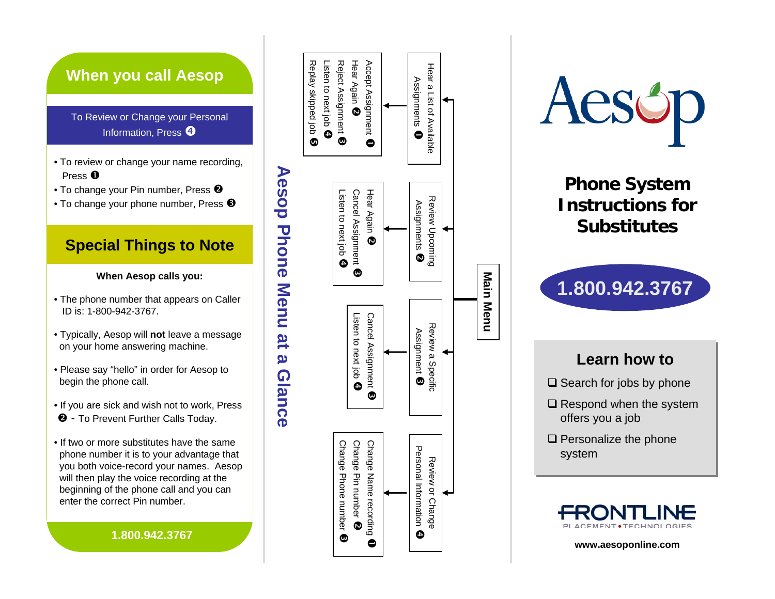# **When you call Aesop**

To Review or Change your Personal Information, Press  $\boldsymbol{\Theta}$ 

- To review or change your name recording, Press  $\bm{0}$
- To change your Pin number, Press  $\bullet$
- To change your phone number, Press  $\bm{\Theta}$

## **Special Things to Note**

#### **When Aesop calls you:**

- The phone number that appears on Caller ID is: 1-800-942-3767.
- Typically, Aesop will **not** leave a message on your home answering machine.
- Please say "hello" in order for Aesop to begin the phone call.
- If you are sick and wish not to work, Press **2** - To Prevent Further Calls Today.
- If two or more substitutes have the samephone number it is to your advantage that you both voice-record your names. Aesop will then play the voice recording at the beginning of the phone call and you can enter the correct Pin number.

#### **1.800.942.3767**





**Substitutes**



## **Learn how to**

- $\square$  Search for jobs by phone
- $\square$  Respond when the system offers you a job
- $\square$  Personalize the phone system



**www.aesoponline.com**